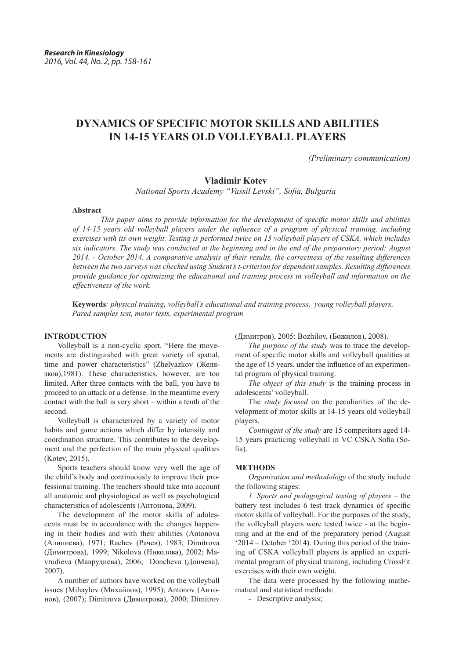# **DYNAMICS OF SPECIFIC MOTOR SKILLS AND ABILITIES IN 14-15 YEARS OLD VOLLEYBALL PLAYERS**

*(Preliminary communication)*

## **Vladimir Kotev**

*National Sports Academy "Vassil Levski", Sofia, Bulgaria*

#### **Abstract**

*This paper aims to provide information for the development of specific motor skills and abilities of 14-15 years old volleyball players under the influence of a program of physical training, including exercises with its own weight. Testing is performed twice on 15 volleyball players of CSKA, which includes six indicators. The study was conducted at the beginning and in the end of the preparatory period: August 2014. - October 2014. A comparative analysis of their results, the correctness of the resulting differences between the two surveys was checked using Student's t-criterion for dependent samples. Resulting differences provide guidance for optimizing the educational and training process in volleyball and information on the effectiveness of the work.*

**Keywords***: physical training, volleyball's educational and training process, young volleyball players, Pared samples test, motor tests, experimental program*

#### **INTRODUCTION**

Volleyball is a non-cyclic sport. "Here the movements are distinguished with great variety of spatial, time and power characteristics" (Zhelyazkov (Желязков),1981). These characteristics, however, are too limited. After three contacts with the ball, you have to proceed to an attack or a defense. In the meantime every contact with the ball is very short – within a tenth of the second.

Volleyball is characterized by a variety of motor habits and game actions which differ by intensity and coordination structure. This contributes to the development and the perfection of the main physical qualities (Kotev, 2015).

Sports teachers should know very well the age of the child's body and continuously to improve their professional training. The teachers should take into account all anatomic and physiological as well as psychological characteristics of adolescents (Антонова, 2009).

The development of the motor skills of adolescents must be in accordance with the changes happening in their bodies and with their abilities (Antonova (Алипиева), 1971; Rachev (Рачев), 1983; Dimitrova (Димитрова), 1999; Nikolova (Николова), 2002; Mavrudieva (Маврудиева), 2006; Doncheva (Дончева), 2007).

A number of authors have worked on the volleyball issues (Mihaylov (Михайлов), 1995); Antonov (Антонов), (2007); Dimitrova (Димитрова), 2000; Dimitrov (Димитров), 2005; Bozhilov, (Божилов), 2008).

*The purpose of the study* was to trace the development of specific motor skills and volleyball qualities at the age of 15 years, under the influence of an experimental program of physical training.

*The object of this study* is the training process in adolescents' volleyball.

The *study focused* on the peculiarities of the development of motor skills at 14-15 years old volleyball players.

*Contingent of the study* are 15 competitors aged 14- 15 years practicing volleyball in VC CSKA Sofia (Sofia).

## **METHODS**

*Organization and methodology* of the study include the following stages:

*1. Sports and pedagogical testing of players* – the battery test includes 6 test track dynamics of specific motor skills of volleyball. For the purposes of the study, the volleyball players were tested twice - at the beginning and at the end of the preparatory period (August '2014 – October '2014). During this period of the training of CSKA volleyball players is applied an experimental program of physical training, including CrossFit exercises with their own weight.

The data were processed by the following mathematical and statistical methods:

- Descriptive analysis;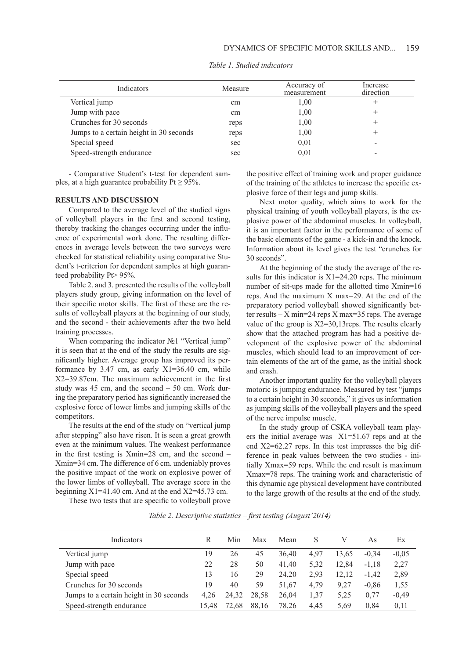| Indicators                              | Measure | Accuracy of<br>measurement | Increase<br>direction |
|-----------------------------------------|---------|----------------------------|-----------------------|
| Vertical jump                           | cm      | 1,00                       |                       |
| Jump with pace                          | cm      | 1,00                       |                       |
| Crunches for 30 seconds                 | reps    | 1,00                       |                       |
| Jumps to a certain height in 30 seconds | reps    | 1,00                       |                       |
| Special speed                           | sec     | 0.01                       |                       |
| Speed-strength endurance                | sec     | 0.01                       |                       |

*Table 1. Studied indicators*

- Comparative Student's t-test for dependent samples, at a high guarantee probability Pt  $\geq$  95%.

### **RESULTS AND DISCUSSION**

Compared to the average level of the studied signs of volleyball players in the first and second testing, thereby tracking the changes occurring under the influence of experimental work done. The resulting differences in average levels between the two surveys were checked for statistical reliability using comparative Student's t-criterion for dependent samples at high guaranteed probability Pt> 95%.

Table 2. and 3. presented the results of the volleyball players study group, giving information on the level of their specific motor skills. The first of these are the results of volleyball players at the beginning of our study, and the second - their achievements after the two held training processes.

When comparing the indicator №1 "Vertical jump" it is seen that at the end of the study the results are significantly higher. Average group has improved its performance by 3.47 cm, as early X1=36.40 cm, while X2=39.87cm. The maximum achievement in the first study was 45 cm, and the second  $-50$  cm. Work during the preparatory period has significantly increased the explosive force of lower limbs and jumping skills of the competitors.

The results at the end of the study on "vertical jump after stepping" also have risen. It is seen a great growth even at the minimum values. The weakest performance in the first testing is Xmin=28 cm, and the second – Xmin=34 cm. The difference of 6 cm. undeniably proves the positive impact of the work on explosive power of the lower limbs of volleyball. The average score in the beginning  $X1=41.40$  cm. And at the end  $X2=45.73$  cm.

These two tests that are specific to volleyball prove

the positive effect of training work and proper guidance of the training of the athletes to increase the specific explosive force of their legs and jump skills.

Next motor quality, which aims to work for the physical training of youth volleyball players, is the explosive power of the abdominal muscles. In volleyball, it is an important factor in the performance of some of the basic elements of the game - a kick-in and the knock. Information about its level gives the test "crunches for 30 seconds".

At the beginning of the study the average of the results for this indicator is  $X1=24.20$  reps. The minimum number of sit-ups made for the allotted time Xmin=16 reps. And the maximum X max=29. At the end of the preparatory period volleyball showed significantly better results  $- X$  min=24 reps  $X$  max=35 reps. The average value of the group is X2=30,13reps. The results clearly show that the attached program has had a positive development of the explosive power of the abdominal muscles, which should lead to an improvement of certain elements of the art of the game, as the initial shock and crash.

Another important quality for the volleyball players motoric is jumping endurance. Measured by test "jumps to a certain height in 30 seconds," it gives us information as jumping skills of the volleyball players and the speed of the nerve impulse muscle.

In the study group of CSKA volleyball team players the initial average was X1=51.67 reps and at the end X2=62.27 reps. In this test impresses the big difference in peak values between the two studies - initially Xmax=59 reps. While the end result is maximum Xmax=78 reps. The training work and characteristic of this dynamic age physical development have contributed to the large growth of the results at the end of the study.

*Table 2. Descriptive statistics – first testing (August'2014)*

| Indicators                              | R     | Min   | Max   | Mean  | S    |       | As      | Еx      |
|-----------------------------------------|-------|-------|-------|-------|------|-------|---------|---------|
| Vertical jump                           | 19    | 26    | 45    | 36.40 | 4,97 | 13.65 | $-0.34$ | $-0.05$ |
| Jump with pace                          | 22    | 28    | 50    | 41,40 | 5,32 | 12,84 | $-1.18$ | 2,27    |
| Special speed                           | 13    | 16    | 29    | 24.20 | 2,93 | 12,12 | $-1.42$ | 2,89    |
| Crunches for 30 seconds                 | 19    | 40    | 59    | 51,67 | 4,79 | 9.27  | $-0.86$ | 1,55    |
| Jumps to a certain height in 30 seconds | 4.26  | 24.32 | 28,58 | 26,04 | 1,37 | 5,25  | 0.77    | $-0,49$ |
| Speed-strength endurance                | 15.48 | 72.68 | 88,16 | 78.26 | 4.45 | 5.69  | 0.84    | 0,11    |
|                                         |       |       |       |       |      |       |         |         |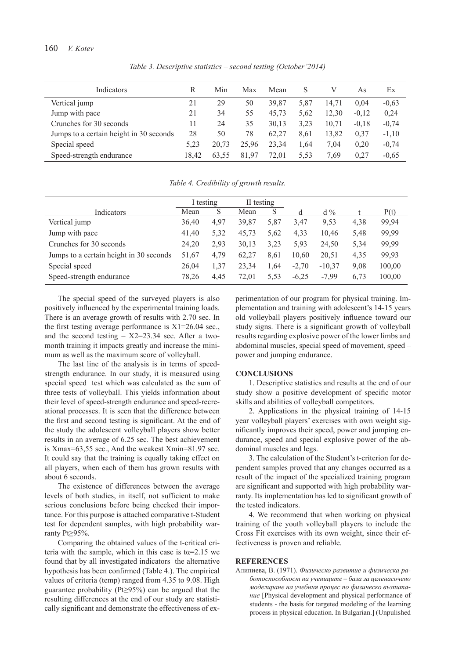## 160 *V. Kotev*

*Table 3. Descriptive statistics – second testing (October'2014)*

| Indicators                              | R     | Min   | Max   | Mean  | S    | V     | As      | Ex      |
|-----------------------------------------|-------|-------|-------|-------|------|-------|---------|---------|
| Vertical jump                           | 21    | 29    | 50    | 39.87 | 5,87 | 14.71 | 0.04    | $-0.63$ |
| Jump with pace                          | 21    | 34    | 55    | 45.73 | 5.62 | 12,30 | $-0.12$ | 0,24    |
| Crunches for 30 seconds                 | 11    | 24    | 35    | 30.13 | 3,23 | 10.71 | $-0.18$ | $-0,74$ |
| Jumps to a certain height in 30 seconds | 28    | 50    | 78    | 62.27 | 8.61 | 13.82 | 0,37    | $-1,10$ |
| Special speed                           | 5,23  | 20.73 | 25.96 | 23.34 | 1.64 | 7.04  | 0.20    | $-0,74$ |
| Speed-strength endurance                | 18.42 | 63.55 | 81.97 | 72.01 | 5.53 | 7.69  | 0,27    | $-0,65$ |

*Table 4. Credibility of growth results.*

|                                         | I testing |      | II testing |      |         |          |      |        |
|-----------------------------------------|-----------|------|------------|------|---------|----------|------|--------|
| Indicators                              | Mean      | S    | Mean       | S    | d       | $d\%$    |      | P(t)   |
| Vertical jump                           | 36.40     | 4,97 | 39,87      | 5.87 | 3.47    | 9.53     | 4.38 | 99,94  |
| Jump with pace                          | 41.40     | 5,32 | 45,73      | 5,62 | 4,33    | 10,46    | 5,48 | 99,99  |
| Crunches for 30 seconds                 | 24,20     | 2.93 | 30,13      | 3.23 | 5.93    | 24.50    | 5,34 | 99,99  |
| Jumps to a certain height in 30 seconds | 51,67     | 4,79 | 62,27      | 8.61 | 10.60   | 20,51    | 4,35 | 99,93  |
| Special speed                           | 26,04     | 1,37 | 23,34      | 1,64 | $-2,70$ | $-10.37$ | 9.08 | 100,00 |
| Speed-strength endurance                | 78,26     | 4,45 | 72,01      | 5.53 | $-6.25$ | $-7.99$  | 6.73 | 100,00 |

The special speed of the surveyed players is also positively influenced by the experimental training loads. There is an average growth of results with 2.70 sec. In the first testing average performance is X1=26.04 sec., and the second testing  $- X2 = 23.34$  sec. After a twomonth training it impacts greatly and increase the minimum as well as the maximum score of volleyball.

The last line of the analysis is in terms of speedstrength endurance. In our study, it is measured using special speed test which was calculated as the sum of three tests of volleyball. This yields information about their level of speed-strength endurance and speed-recreational processes. It is seen that the difference between the first and second testing is significant. At the end of the study the adolescent volleyball players show better results in an average of 6.25 sec. The best achievement is Xmax=63,55 sec., And the weakest Xmin=81.97 sec. It could say that the training is equally taking effect on all players, when each of them has grown results with about 6 seconds.

The existence of differences between the average levels of both studies, in itself, not sufficient to make serious conclusions before being checked their importance. For this purpose is attached comparative t-Student test for dependent samples, with high probability warranty Pt≥95%.

Comparing the obtained values of the t-critical criteria with the sample, which in this case is t $\alpha$ =2.15 we found that by all investigated indicators the alternative hypothesis has been confirmed (Table 4.). The empirical values of criteria (temp) ranged from 4.35 to 9.08. High guarantee probability (Pt≥95%) can be argued that the resulting differences at the end of our study are statistically significant and demonstrate the effectiveness of experimentation of our program for physical training. Implementation and training with adolescent's 14-15 years old volleyball players positively influence toward our study signs. There is a significant growth of volleyball results regarding explosive power of the lower limbs and abdominal muscles, special speed of movement, speed – power and jumping endurance.

#### **CONCLUSIONS**

1. Descriptive statistics and results at the end of our study show a positive development of specific motor skills and abilities of volleyball competitors.

2. Applications in the physical training of 14-15 year volleyball players' exercises with own weight significantly improves their speed, power and jumping endurance, speed and special explosive power of the abdominal muscles and legs.

3. The calculation of the Student's t-criterion for dependent samples proved that any changes occurred as a result of the impact of the specialized training program are significant and supported with high probability warranty. Its implementation has led to significant growth of the tested indicators.

4. We recommend that when working on physical training of the youth volleyball players to include the Cross Fit exercises with its own weight, since their effectiveness is proven and reliable.

#### **REFERENCES**

Алипиева, В. (1971). *Физическо развитие и физическа работоспособност на учениците – база за целенасочено моделиране на учебния процес по физическо възпитание* [Physical development and physical performance of students - the basis for targeted modeling of the learning process in physical education. In Bulgarian.] (Unpulished